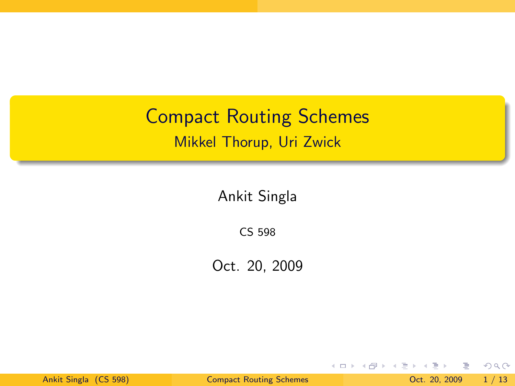Compact Routing Schemes Mikkel Thorup, Uri Zwick

Ankit Singla

CS 598

Oct. 20, 2009

造 Ankit Singla (CS 598) [Compact Routing Schemes](#page-17-0) Oct. 20, 2009 1 / 13

 $\equiv$  +

 $\rightarrow$  $-4$ 

**K ロト K 母 ト K 手** 

<span id="page-0-0"></span> $2Q$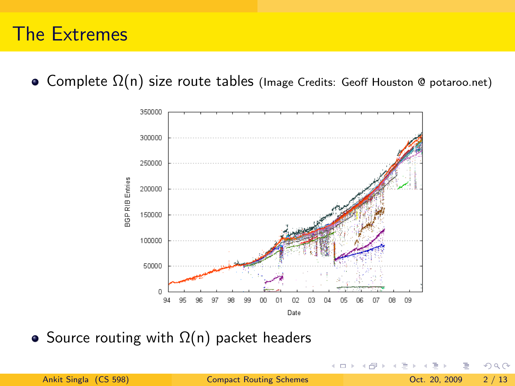### The Extremes

 $\bullet$  Complete  $\Omega(n)$  size route tables (Image Credits: Geoff Houston @ potaroo.net)



• Source routing with  $\Omega(n)$  packet headers

4 D F

Ankit Singla (CS 598) [Compact Routing Schemes](#page-0-0) Oct. 20, 2009 2 / 13

 $\Omega$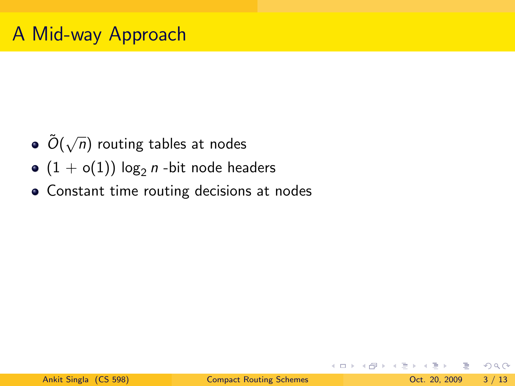- $\tilde{O}(\sqrt{2})$  $\overline{n})$  routing tables at nodes
- $(1 + o(1)) \log_2 n$  -bit node headers
- Constant time routing decisions at nodes

KED KARD KED KED E VOOR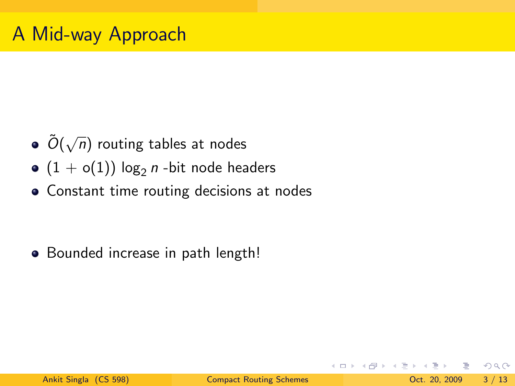- $\tilde{O}(\sqrt{2})$  $\overline{n})$  routing tables at nodes
- $(1 + o(1)) \log_2 n$  -bit node headers
- Constant time routing decisions at nodes

• Bounded increase in path length!

KED KARD KED KED E VOOR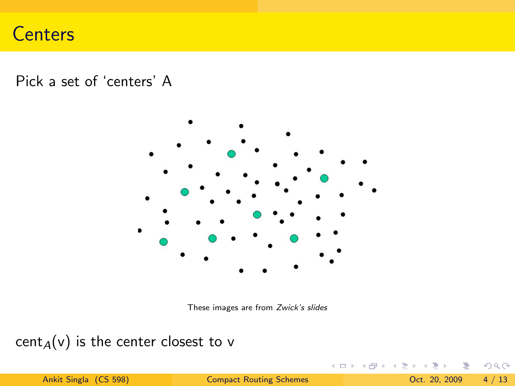# **Centers**

Pick a set of 'centers' A



These images are from [Zwick's slides](http://www.cs.tau.ac.il/~zwick/slides/routing.ppt)

cent<sub>A</sub>(v) is the center closest to v

**← ロ ▶ → イ 同** 

 $\mathbb{R}^2$ 

 $\equiv$ Ankit Singla (CS 598) [Compact Routing Schemes](#page-0-0) Oct. 20, 2009 4 / 13

 $\equiv$ 

 $2Q$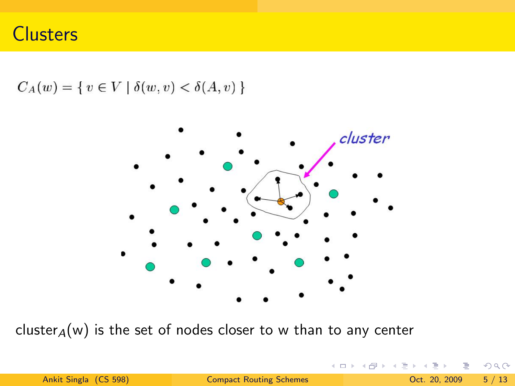**Clusters** 

 $C_A(w) = \{ v \in V \mid \delta(w, v) < \delta(A, v) \}$ 



cluster $_A(w)$  is the set of nodes closer to w than to any center

4 0 F

**E** 

 $QQ$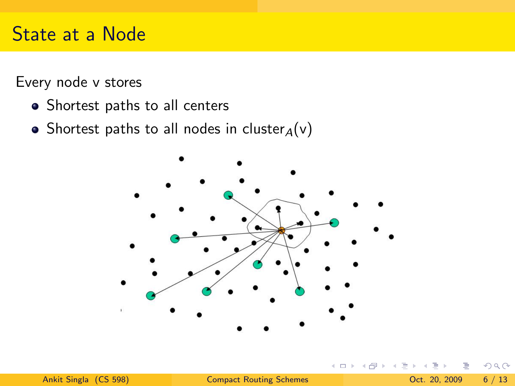# State at a Node

Every node v stores

- Shortest paths to all centers
- Shortest paths to all nodes in cluster $_A(v)$



 $\leftarrow$ 

 $\Omega$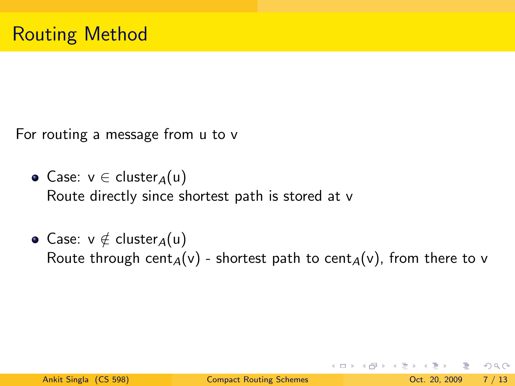For routing a message from u to v

- Case:  $v \in cluster_A(u)$ Route directly since shortest path is stored at v
- Case:  $v \notin cluster_A(u)$ Route through cent<sub>A</sub>(v) - shortest path to cent<sub>A</sub>(v), from there to v

イロト イ母 トイミト イミト ニヨー りんぴ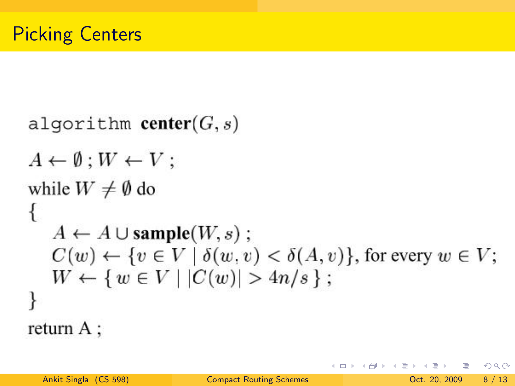```
algorithm center(G, s)A \leftarrow \emptyset : W \leftarrow V:
while W \neq \emptyset do
ł
    A \leftarrow A \cup \text{sample}(W, s);
    C(w) \leftarrow \{v \in V \mid \delta(w, v) < \delta(A, v)\}\text{, for every } w \in V;W \leftarrow \{ w \in V \mid |C(w)| > 4n/s \};ł
return A;
```
 $\Omega$ 

イロト イ何 トイヨト イヨト ニヨー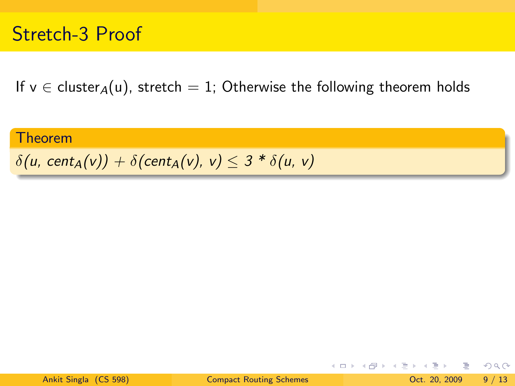# Stretch-3 Proof

If  $v \in$  cluster<sub>A</sub>(u), stretch = 1; Otherwise the following theorem holds

#### Theorem

#### $\delta(u, \text{cent}_A(v)) + \delta(\text{cent}_A(v), v) \leq 3 * \delta(u, v)$

K □ ▶ K @ ▶ K ミ ▶ K ミ ▶ │ 큰 │ ◆ 9 Q ⊙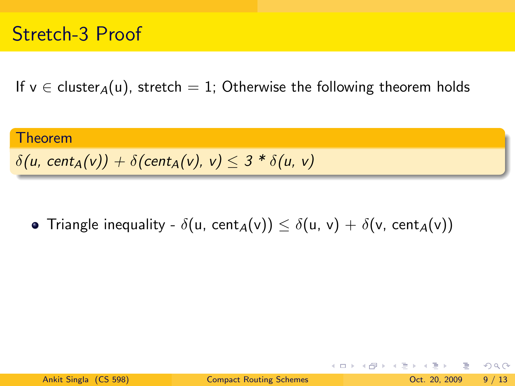If  $v \in$  cluster<sub>A</sub>(u), stretch = 1; Otherwise the following theorem holds

# **Theorem**  $\delta(u, \text{cent}_A(v)) + \delta(\text{cent}_A(v), v) \leq 3 * \delta(u, v)$

• Triangle inequality -  $\delta(u, \text{cent}_A(v)) \leq \delta(u, v) + \delta(v, \text{cent}_A(v))$ 

K □ ▶ K @ ▶ K ミ ▶ K ミ ▶ │ 큰 │ ◆ 9 Q ⊙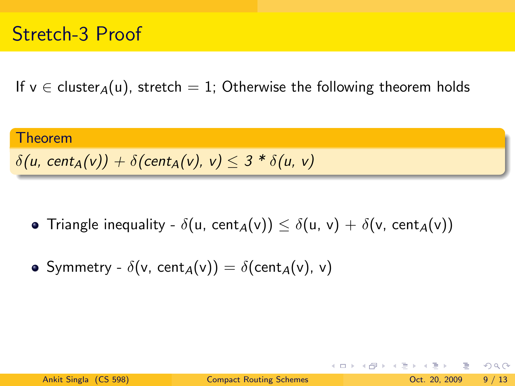If  $v \in$  cluster<sub>A</sub>(u), stretch = 1; Otherwise the following theorem holds

# **Theorem**  $\delta(u, \text{cent}_A(v)) + \delta(\text{cent}_A(v), v) \leq 3 * \delta(u, v)$

• Triangle inequality -  $\delta(u, \text{cent}_A(v)) \leq \delta(u, v) + \delta(v, \text{cent}_A(v))$ 

• Symmetry - 
$$
\delta(v, \text{cent}_A(v)) = \delta(\text{cent}_A(v), v)
$$

K □ ▶ K @ ▶ K ミ ▶ K ミ ▶ │ 큰 │ ◆ 9 Q ⊙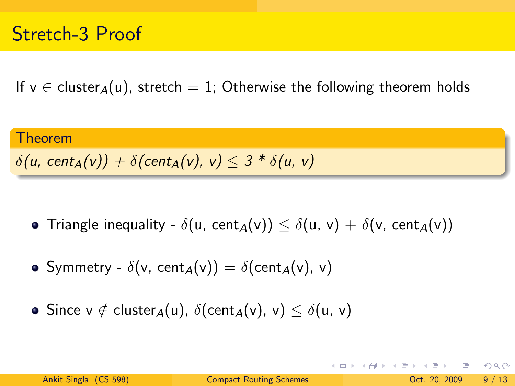If  $v \in$  cluster<sub>A</sub>(u), stretch = 1; Otherwise the following theorem holds

#### Theorem  $\delta(u, \text{cent}_A(v)) + \delta(\text{cent}_A(v), v) \leq 3 * \delta(u, v)$

- Triangle inequality  $\delta(u, \text{cent}_A(v)) \leq \delta(u, v) + \delta(v, \text{cent}_A(v))$
- Symmetry  $\delta(v, \text{cent}_A(v)) = \delta(\text{cent}_A(v), v)$
- Since  $v \notin cluster_A(u)$ ,  $\delta(cent_A(v), v) < \delta(u, v)$

イロト イ母 トイミト イミト ニヨー りんぴ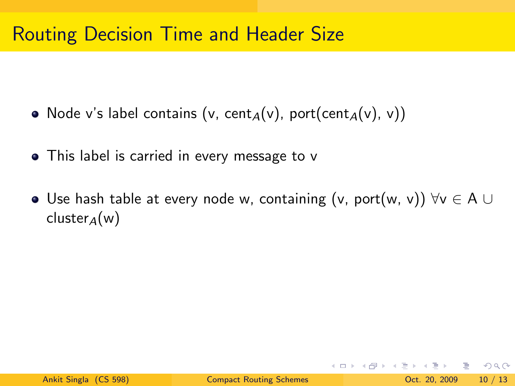- Node v's label contains (v, cent<sub>A</sub>(v), port(cent<sub>A</sub>(v), v))
- This label is carried in every message to v
- Use hash table at every node w, containing (v, port(w, v))  $\forall v \in A \cup B$ cluster<sub>A</sub>(w)

KED KARD KED KED E VOOR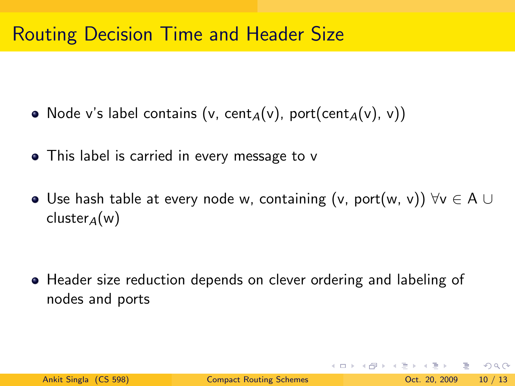- Node v's label contains (v, cent<sub>A</sub>(v), port(cent<sub>A</sub>(v), v))
- This label is carried in every message to v
- $\bullet$  Use hash table at every node w, containing (v, port(w, v))  $\forall v \in A$  ∪ cluster<sub>4</sub>(w)

Header size reduction depends on clever ordering and labeling of nodes and ports

KED KARD KED KED E YORA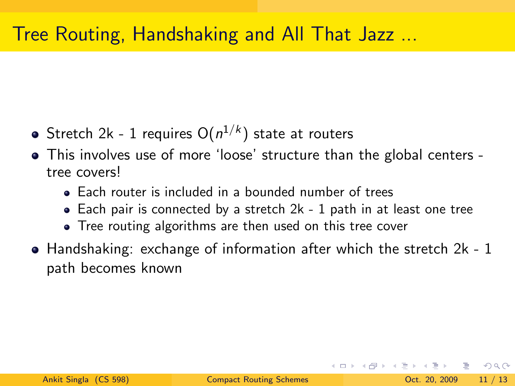# Tree Routing, Handshaking and All That Jazz ...

- Stretch 2k 1 requires  $\mathrm{O}(n^{1/k})$  state at routers
- This involves use of more 'loose' structure than the global centers tree covers!
	- Each router is included in a bounded number of trees
	- Each pair is connected by a stretch 2k 1 path in at least one tree
	- Tree routing algorithms are then used on this tree cover
- $\bullet$  Handshaking: exchange of information after which the stretch 2k 1 path becomes known

KET KET KET KET KEL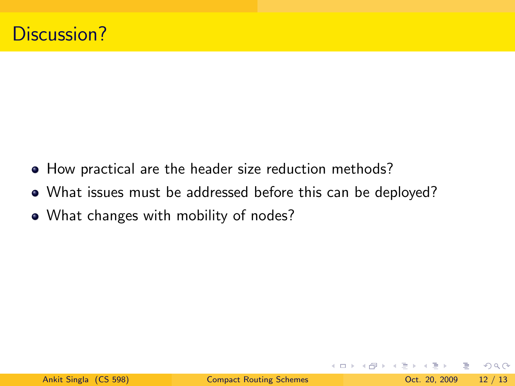- How practical are the header size reduction methods?
- What issues must be addressed before this can be deployed?
- What changes with mobility of nodes?

 $\equiv$   $\Omega$ 

 $\equiv$  +

イロト イ母 ト イヨト